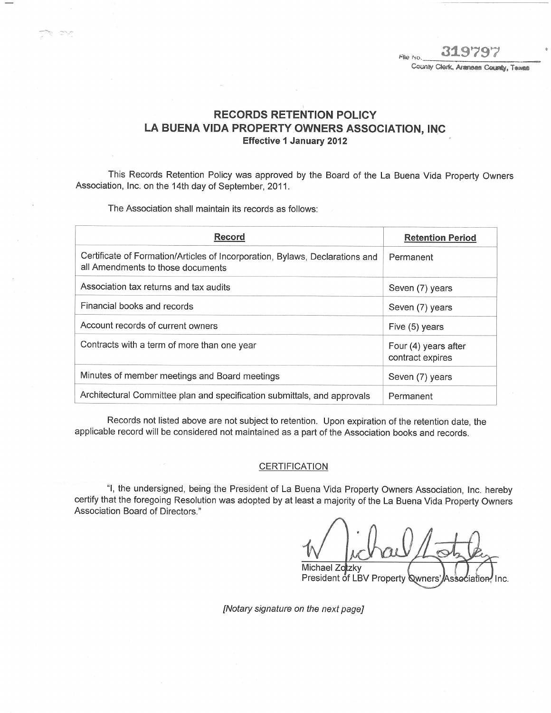File No. County Clerk, Aranses County, Texas

## RECORDS RETENTION POLICY LA BUENA VIDA PROPERTY OWNERS ASSOCIATION, INC **Effective 1 January 2012**

This Records Retention Policy was approved by the Board of the La Buena Vida Property Owners Association, Inc. on the 14th day of September, 2011.

The Association shall maintain its records as follows:

| <b>Record</b>                                                                                                     | <b>Retention Period</b>                  |
|-------------------------------------------------------------------------------------------------------------------|------------------------------------------|
| Certificate of Formation/Articles of Incorporation, Bylaws, Declarations and<br>all Amendments to those documents | Permanent                                |
| Association tax returns and tax audits                                                                            | Seven (7) years                          |
| Financial books and records                                                                                       | Seven (7) years                          |
| Account records of current owners                                                                                 | Five (5) years                           |
| Contracts with a term of more than one year                                                                       | Four (4) years after<br>contract expires |
| Minutes of member meetings and Board meetings                                                                     | Seven (7) years                          |
| Architectural Committee plan and specification submittals, and approvals                                          | Permanent                                |

Records not listed above are not subject to retention. Upon expiration of the retention date, the applicable record will be considered not maintained as a part of the Association books and records.

#### CERTIFICATION

"1, the undersigned, being the President of La Buena Vida Property Owners Association, Inc. hereby certify that the foregoing Resolution was adopted by at least a majority of the La Buena Vida Property Owners Association Board of Directors."

Michael Zotzky<br>President of LBV Property Qwners' Asse

[Notary signature on the next page]